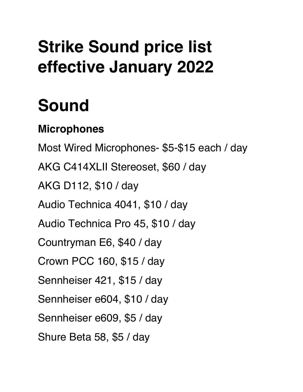### **Strike Sound price list effective January 2022**

## **Sound**

#### **Microphones**

Most Wired Microphones- \$5-\$15 each / day AKG C414XLII Stereoset, \$60 / day AKG D112, \$10 / day Audio Technica 4041, \$10 / day Audio Technica Pro 45, \$10 / day Countryman E6, \$40 / day Crown PCC 160, \$15 / day Sennheiser 421, \$15 / day Sennheiser e604, \$10 / day Sennheiser e609, \$5 / day Shure Beta 58, \$5 / day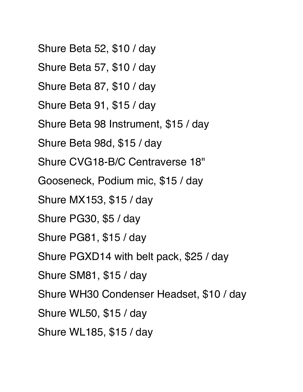Shure Beta 52, \$10 / day Shure Beta 57, \$10 / day Shure Beta 87, \$10 / day Shure Beta 91, \$15 / day Shure Beta 98 Instrument, \$15 / day Shure Beta 98d, \$15 / day Shure CVG18-B/C Centraverse 18" Gooseneck, Podium mic, \$15 / day Shure MX153, \$15 / day Shure PG30, \$5 / day Shure PG81, \$15 / day Shure PGXD14 with belt pack, \$25 / day Shure SM81, \$15 / day Shure WH30 Condenser Headset, \$10 / day Shure WL50, \$15 / day Shure WL185, \$15 / day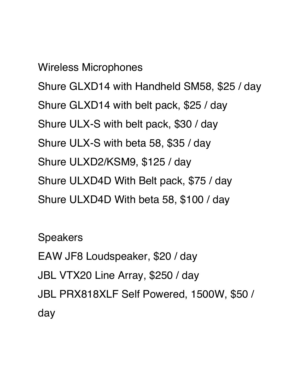Wireless Microphones Shure GLXD14 with Handheld SM58, \$25 / day Shure GLXD14 with belt pack, \$25 / day Shure ULX-S with belt pack, \$30 / day Shure ULX-S with beta 58, \$35 / day Shure ULXD2/KSM9, \$125 / day Shure ULXD4D With Belt pack, \$75 / day Shure ULXD4D With beta 58, \$100 / day

Speakers EAW JF8 Loudspeaker, \$20 / day JBL VTX20 Line Array, \$250 / day JBL PRX818XLF Self Powered, 1500W, \$50 / day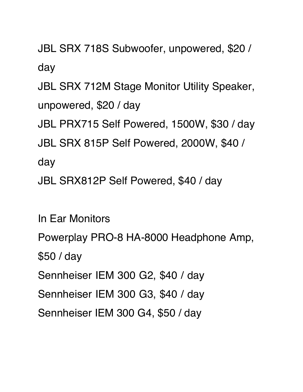JBL SRX 718S Subwoofer, unpowered, \$20 / day

JBL SRX 712M Stage Monitor Utility Speaker, unpowered, \$20 / day

JBL PRX715 Self Powered, 1500W, \$30 / day

JBL SRX 815P Self Powered, 2000W, \$40 /

day

JBL SRX812P Self Powered, \$40 / day

In Ear Monitors

Powerplay PRO-8 HA-8000 Headphone Amp, \$50 / day

Sennheiser IEM 300 G2, \$40 / day

Sennheiser IEM 300 G3, \$40 / day

Sennheiser IEM 300 G4, \$50 / day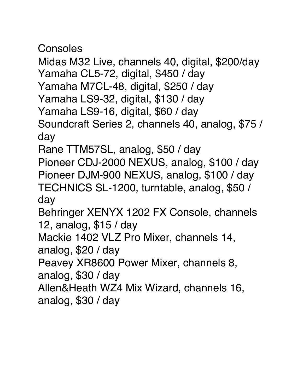Consoles

Midas M32 Live, channels 40, digital, \$200/day Yamaha CL5-72, digital, \$450 / day Yamaha M7CL-48, digital, \$250 / day Yamaha LS9-32, digital, \$130 / day Yamaha LS9-16, digital, \$60 / day Soundcraft Series 2, channels 40, analog, \$75 / day Rane TTM57SL, analog, \$50 / day

Pioneer CDJ-2000 NEXUS, analog, \$100 / day Pioneer DJM-900 NEXUS, analog, \$100 / day TECHNICS SL-1200, turntable, analog, \$50 / day

Behringer XENYX 1202 FX Console, channels 12, analog, \$15 / day

Mackie 1402 VLZ Pro Mixer, channels 14, analog, \$20 / day

Peavey XR8600 Power Mixer, channels 8, analog, \$30 / day

Allen&Heath WZ4 Mix Wizard, channels 16, analog, \$30 / day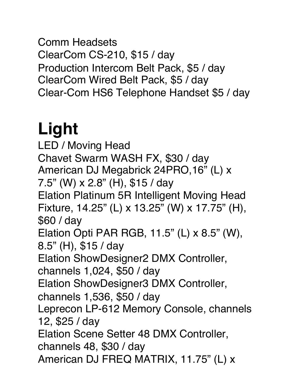Comm Headsets ClearCom CS-210, \$15 / day Production Intercom Belt Pack, \$5 / day ClearCom Wired Belt Pack, \$5 / day Clear-Com HS6 Telephone Handset \$5 / day

# **Light**

LED / Moving Head Chavet Swarm WASH FX, \$30 / day American DJ Megabrick 24PRO,16" (L) x 7.5" (W) x 2.8" (H), \$15 / day Elation Platinum 5R Intelligent Moving Head Fixture, 14.25" (L) x 13.25" (W) x 17.75" (H), \$60 / day Elation Opti PAR RGB, 11.5" (L) x 8.5" (W), 8.5" (H), \$15 / day Elation ShowDesigner2 DMX Controller, channels 1,024, \$50 / day Elation ShowDesigner3 DMX Controller, channels 1,536, \$50 / day Leprecon LP-612 Memory Console, channels 12, \$25 / day Elation Scene Setter 48 DMX Controller, channels 48, \$30 / day American DJ FREQ MATRIX, 11.75" (L) x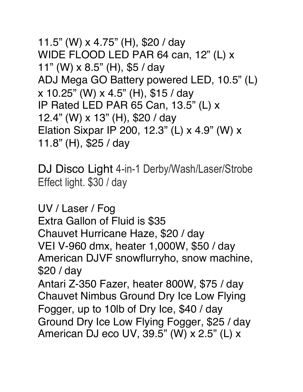11.5" (W) x 4.75" (H), \$20 / day WIDE FLOOD LED PAR 64 can, 12" (L) x 11" (W) x 8.5" (H), \$5 / day ADJ Mega GO Battery powered LED, 10.5" (L) x 10.25" (W) x 4.5" (H), \$15 / day IP Rated LED PAR 65 Can, 13.5" (L) x 12.4" (W) x 13" (H), \$20 / day Elation Sixpar IP 200, 12.3" (L) x 4.9" (W) x 11.8" (H), \$25 / day

DJ Disco Light 4-in-1 Derby/Wash/Laser/Strobe Effect light. \$30 / day

UV / Laser / Fog Extra Gallon of Fluid is \$35 Chauvet Hurricane Haze, \$20 / day VEI V-960 dmx, heater 1,000W, \$50 / day American DJVF snowflurryho, snow machine, \$20 / day Antari Z-350 Fazer, heater 800W, \$75 / day Chauvet Nimbus Ground Dry Ice Low Flying Fogger, up to 10lb of Dry Ice, \$40 / day

Ground Dry Ice Low Flying Fogger, \$25 / day American DJ eco UV, 39.5" (W) x 2.5" (L) x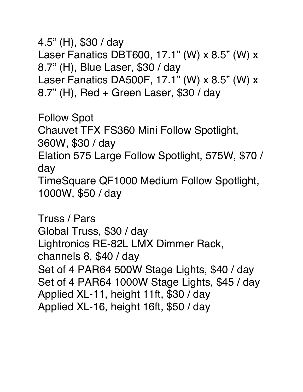4.5" (H), \$30 / day Laser Fanatics DBT600, 17.1" (W) x 8.5" (W) x 8.7" (H), Blue Laser, \$30 / day Laser Fanatics DA500F, 17.1" (W) x 8.5" (W) x 8.7" (H), Red + Green Laser, \$30 / day

Follow Spot Chauvet TFX FS360 Mini Follow Spotlight, 360W, \$30 / day Elation 575 Large Follow Spotlight, 575W, \$70 / day TimeSquare QF1000 Medium Follow Spotlight, 1000W, \$50 / day

Truss / Pars Global Truss, \$30 / day Lightronics RE-82L LMX Dimmer Rack, channels 8, \$40 / day Set of 4 PAR64 500W Stage Lights, \$40 / day Set of 4 PAR64 1000W Stage Lights, \$45 / day Applied XL-11, height 11ft, \$30 / day Applied XL-16, height 16ft, \$50 / day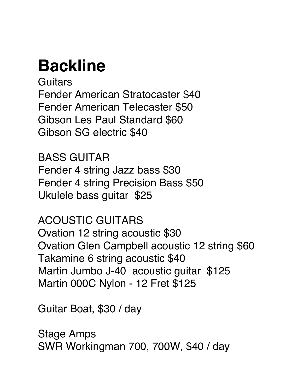### **Backline**

**Guitars** Fender American Stratocaster \$40 Fender American Telecaster \$50 Gibson Les Paul Standard \$60 Gibson SG electric \$40

BASS GUITAR Fender 4 string Jazz bass \$30 Fender 4 string Precision Bass \$50 Ukulele bass guitar \$25

ACOUSTIC GUITARS Ovation 12 string acoustic \$30 Ovation Glen Campbell acoustic 12 string \$60 Takamine 6 string acoustic \$40 Martin Jumbo J-40 acoustic guitar \$125 Martin 000C Nylon - 12 Fret \$125

Guitar Boat, \$30 / day

Stage Amps SWR Workingman 700, 700W, \$40 / day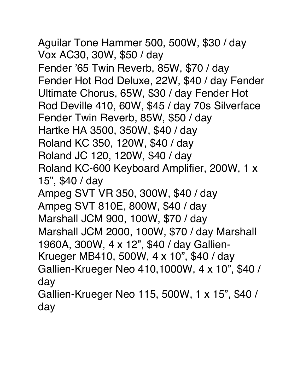Aguilar Tone Hammer 500, 500W, \$30 / day Vox AC30, 30W, \$50 / day Fender '65 Twin Reverb, 85W, \$70 / day Fender Hot Rod Deluxe, 22W, \$40 / day Fender Ultimate Chorus, 65W, \$30 / day Fender Hot Rod Deville 410, 60W, \$45 / day 70s Silverface Fender Twin Reverb, 85W, \$50 / day Hartke HA 3500, 350W, \$40 / day Roland KC 350, 120W, \$40 / day Roland JC 120, 120W, \$40 / day Roland KC-600 Keyboard Amplifier, 200W, 1 x 15", \$40 / day Ampeg SVT VR 350, 300W, \$40 / day Ampeg SVT 810E, 800W, \$40 / day Marshall JCM 900, 100W, \$70 / day Marshall JCM 2000, 100W, \$70 / day Marshall 1960A, 300W, 4 x 12", \$40 / day Gallien-Krueger MB410, 500W, 4 x 10", \$40 / day Gallien-Krueger Neo 410,1000W, 4 x 10", \$40 / day Gallien-Krueger Neo 115, 500W, 1 x 15", \$40 / day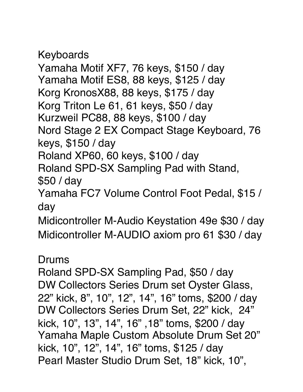Keyboards

Yamaha Motif XF7, 76 keys, \$150 / day Yamaha Motif ES8, 88 keys, \$125 / day Korg KronosX88, 88 keys, \$175 / day Korg Triton Le 61, 61 keys, \$50 / day Kurzweil PC88, 88 keys, \$100 / day Nord Stage 2 EX Compact Stage Keyboard, 76 keys, \$150 / day

Roland XP60, 60 keys, \$100 / day Roland SPD-SX Sampling Pad with Stand, \$50 / day

Yamaha FC7 Volume Control Foot Pedal, \$15 / day

Midicontroller M-Audio Keystation 49e \$30 / day Midicontroller M-AUDIO axiom pro 61 \$30 / day

Drums

Roland SPD-SX Sampling Pad, \$50 / day DW Collectors Series Drum set Oyster Glass, 22" kick, 8", 10", 12", 14", 16" toms, \$200 / day DW Collectors Series Drum Set, 22" kick, 24" kick, 10", 13", 14", 16" ,18" toms, \$200 / day Yamaha Maple Custom Absolute Drum Set 20" kick, 10", 12", 14", 16" toms, \$125 / day Pearl Master Studio Drum Set, 18" kick, 10",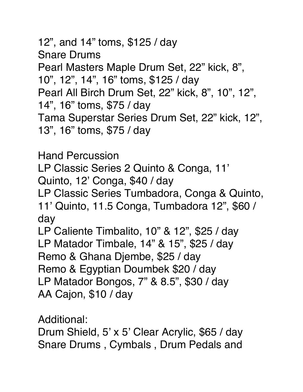12", and 14" toms, \$125 / day Snare Drums Pearl Masters Maple Drum Set, 22" kick, 8", 10", 12", 14", 16" toms, \$125 / day Pearl All Birch Drum Set, 22" kick, 8", 10", 12", 14", 16" toms, \$75 / day Tama Superstar Series Drum Set, 22" kick, 12", 13", 16" toms, \$75 / day

Hand Percussion LP Classic Series 2 Quinto & Conga, 11' Quinto, 12' Conga, \$40 / day LP Classic Series Tumbadora, Conga & Quinto, 11' Quinto, 11.5 Conga, Tumbadora 12", \$60 / day LP Caliente Timbalito, 10" & 12", \$25 / day LP Matador Timbale, 14" & 15", \$25 / day Remo & Ghana Djembe, \$25 / day Remo & Egyptian Doumbek \$20 / day LP Matador Bongos, 7" & 8.5", \$30 / day AA Cajon, \$10 / day

Additional:

Drum Shield, 5' x 5' Clear Acrylic, \$65 / day Snare Drums , Cymbals , Drum Pedals and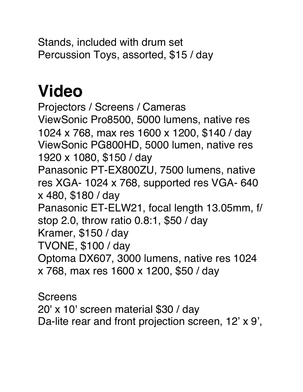Stands, included with drum set Percussion Toys, assorted, \$15 / day

### **Video**

Projectors / Screens / Cameras ViewSonic Pro8500, 5000 lumens, native res 1024 x 768, max res 1600 x 1200, \$140 / day ViewSonic PG800HD, 5000 lumen, native res 1920 x 1080, \$150 / day Panasonic PT-EX800ZU, 7500 lumens, native res XGA- 1024 x 768, supported res VGA- 640 x 480, \$180 / day Panasonic ET-ELW21, focal length 13.05mm, f/ stop 2.0, throw ratio 0.8:1, \$50 / day Kramer, \$150 / day TVONE, \$100 / day Optoma DX607, 3000 lumens, native res 1024 x 768, max res 1600 x 1200, \$50 / day

Screens 20' x 10' screen material \$30 / day Da-lite rear and front projection screen, 12' x 9',